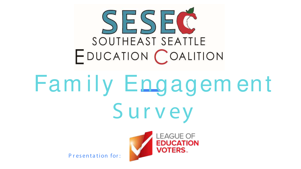

# Family Engagement Survey



Presentation for: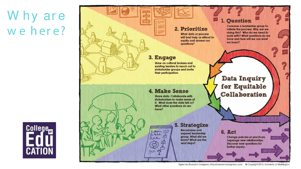### Why are we here?



#### 2. Prioritize

**What data or process** will best help us attend to equity and answer our questions?

#### 3. Engage

Draw on cultural brokers and existing leaders to reach out to stakeholder groups and invite their participation.

#### 4. Make Sense

www.commu

 $\sqrt{2}$ 

 $1.10$ 

 $2.00h/h$ 

 $3.14$  Mass

Share data, Collaborate with stakeholders to make sense of it. What does the data tell us? What other avestions do we have?

#### **5. Strategize**

**Reconvene and** expand leadership group. What did we learn? What are the next steps?

#### 1. Question

Convene a leadership aroup to initiate the process. Why are we doing this? Who do we need to work with? What questions do we have and how will we use what we learn?

Data Inquiry for Equitable Collaboration

6. Act

Change policies or practices. Legerage new relationships. **Discover new questions for** further inquiry.

Figure by Research Designers, http://researchdesigners.com/ © Copyright 2015, University of Washington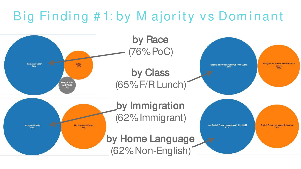## Big Finding #1: by M ajority vs Dominant

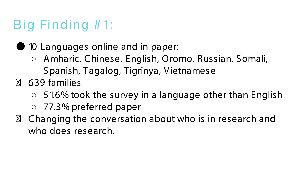### Big Finding # 1:

### ● 10 Languages online and in paper:

- Amharic, Chinese, English, Oromo, Russian, Somali, Spanish, Tagalog, Tigrinya, Vietnamese
- 639 families
	- $\circ$  51.6% took the survey in a language other than English
	- 77.3% preferred paper
- Changing the conversation about who is in research and who does research.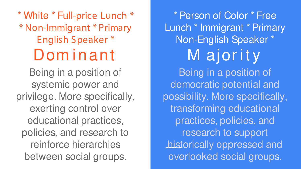\* White \* Full-price Lunch \* \* Non-Immigrant \* Primary English Speaker \* Dom inant

Being in a position of systemic power and privilege. More specifically, exerting control over educational practices, policies, and research to reinforce hierarchies between social groups.

\* Person of Color \* Free Lunch \* Immigrant \* Primary Non-English Speaker \* M ajority Being in a position of democratic potential and possibility. More specifically, transforming educational practices, policies, and research to support historically oppressed and overlooked social groups.